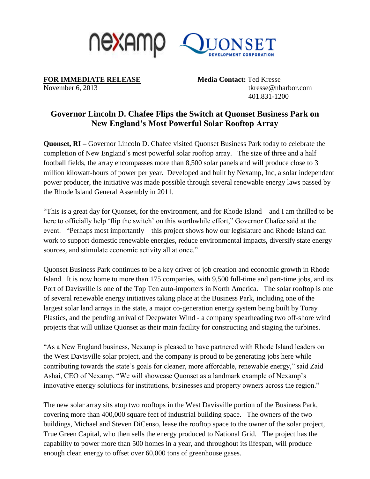

**FOR IMMEDIATE RELEASE Media Contact: Ted Kresse** 

November 6, 2013 tkresse@nharbor.com 401.831-1200

## **Governor Lincoln D. Chafee Flips the Switch at Quonset Business Park on New England's Most Powerful Solar Rooftop Array**

**Quonset, RI –** Governor Lincoln D. Chafee visited Quonset Business Park today to celebrate the completion of New England's most powerful solar rooftop array. The size of three and a half football fields, the array encompasses more than 8,500 solar panels and will produce close to 3 million kilowatt-hours of power per year. Developed and built by Nexamp, Inc, a solar independent power producer, the initiative was made possible through several renewable energy laws passed by the Rhode Island General Assembly in 2011.

"This is a great day for Quonset, for the environment, and for Rhode Island – and I am thrilled to be here to officially help 'flip the switch' on this worthwhile effort," Governor Chafee said at the event. "Perhaps most importantly – this project shows how our legislature and Rhode Island can work to support domestic renewable energies, reduce environmental impacts, diversify state energy sources, and stimulate economic activity all at once."

Quonset Business Park continues to be a key driver of job creation and economic growth in Rhode Island. It is now home to more than 175 companies, with 9,500 full-time and part-time jobs, and its Port of Davisville is one of the Top Ten auto-importers in North America. The solar rooftop is one of several renewable energy initiatives taking place at the Business Park, including one of the largest solar land arrays in the state, a major co-generation energy system being built by Toray Plastics, and the pending arrival of Deepwater Wind - a company spearheading two off-shore wind projects that will utilize Quonset as their main facility for constructing and staging the turbines.

"As a New England business, Nexamp is pleased to have partnered with Rhode Island leaders on the West Davisville solar project, and the company is proud to be generating jobs here while contributing towards the state's goals for cleaner, more affordable, renewable energy," said Zaid Ashai, CEO of Nexamp. "We will showcase Quonset as a landmark example of Nexamp's innovative energy solutions for institutions, businesses and property owners across the region."

The new solar array sits atop two rooftops in the West Davisville portion of the Business Park, covering more than 400,000 square feet of industrial building space. The owners of the two buildings, Michael and Steven DiCenso, lease the rooftop space to the owner of the solar project, True Green Capital, who then sells the energy produced to National Grid. The project has the capability to power more than 500 homes in a year, and throughout its lifespan, will produce enough clean energy to offset over 60,000 tons of greenhouse gases.